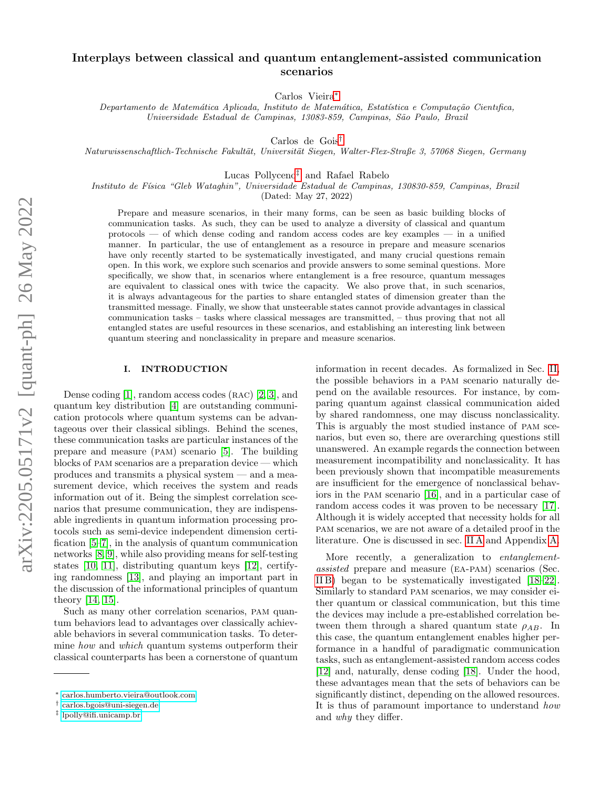## Interplays between classical and quantum entanglement-assisted communication scenarios

Carlos Vieira[∗](#page-0-0)

Departamento de Matemática Aplicada, Instituto de Matemática, Estatística e Computação Científica, Universidade Estadual de Campinas, 13083-859, Campinas, São Paulo, Brazil

Carlos de Gois[†](#page-0-1)

Naturwissenschaftlich-Technische Fakultät, Universität Siegen, Walter-Flex-Straße 3, 57068 Siegen, Germany

Lucas Pollyceno[‡](#page-0-2) and Rafael Rabelo

Instituto de Física "Gleb Wataghin", Universidade Estadual de Campinas, 130830-859, Campinas, Brazil

(Dated: May 27, 2022)

Prepare and measure scenarios, in their many forms, can be seen as basic building blocks of communication tasks. As such, they can be used to analyze a diversity of classical and quantum  $\rm{protocols}$  — of which dense coding and random access codes are key examples — in a unified manner. In particular, the use of entanglement as a resource in prepare and measure scenarios have only recently started to be systematically investigated, and many crucial questions remain open. In this work, we explore such scenarios and provide answers to some seminal questions. More specifically, we show that, in scenarios where entanglement is a free resource, quantum messages are equivalent to classical ones with twice the capacity. We also prove that, in such scenarios, it is always advantageous for the parties to share entangled states of dimension greater than the transmitted message. Finally, we show that unsteerable states cannot provide advantages in classical communication tasks – tasks where classical messages are transmitted, – thus proving that not all entangled states are useful resources in these scenarios, and establishing an interesting link between quantum steering and nonclassicality in prepare and measure scenarios.

## I. INTRODUCTION

Dense coding  $[1]$ , random access codes  $(RAC)$   $[2, 3]$  $[2, 3]$ , and quantum key distribution [\[4\]](#page-10-3) are outstanding communication protocols where quantum systems can be advantageous over their classical siblings. Behind the scenes, these communication tasks are particular instances of the prepare and measure (pam) scenario [\[5\]](#page-11-0). The building blocks of pam scenarios are a preparation device — which produces and transmits a physical system — and a measurement device, which receives the system and reads information out of it. Being the simplest correlation scenarios that presume communication, they are indispensable ingredients in quantum information processing protocols such as semi-device independent dimension certification [\[5–](#page-11-0)[7\]](#page-11-1), in the analysis of quantum communication networks [\[8,](#page-11-2) [9\]](#page-11-3), while also providing means for self-testing states [\[10,](#page-11-4) [11\]](#page-11-5), distributing quantum keys [\[12\]](#page-11-6), certifying randomness [\[13\]](#page-11-7), and playing an important part in the discussion of the informational principles of quantum theory [\[14,](#page-11-8) [15\]](#page-11-9).

Such as many other correlation scenarios, pam quantum behaviors lead to advantages over classically achievable behaviors in several communication tasks. To determine how and which quantum systems outperform their classical counterparts has been a cornerstone of quantum information in recent decades. As formalized in Sec. [II,](#page-1-0) the possible behaviors in a pam scenario naturally depend on the available resources. For instance, by comparing quantum against classical communication aided by shared randomness, one may discuss nonclassicality. This is arguably the most studied instance of pam scenarios, but even so, there are overarching questions still unanswered. An example regards the connection between measurement incompatibility and nonclassicality. It has been previously shown that incompatible measurements are insufficient for the emergence of nonclassical behaviors in the pam scenario [\[16\]](#page-11-10), and in a particular case of random access codes it was proven to be necessary [\[17\]](#page-11-11). Although it is widely accepted that necessity holds for all pam scenarios, we are not aware of a detailed proof in the literature. One is discussed in sec. [II A](#page-1-1) and Appendix [A.](#page-6-0)

More recently, a generalization to *entanglement*assisted prepare and measure (ea-pam) scenarios (Sec. [II B\)](#page-2-0) began to be systematically investigated [\[18–](#page-11-12)[22\]](#page-11-13). Similarly to standard pam scenarios, we may consider either quantum or classical communication, but this time the devices may include a pre-established correlation between them through a shared quantum state  $\rho_{AB}$ . In this case, the quantum entanglement enables higher performance in a handful of paradigmatic communication tasks, such as entanglement-assisted random access codes [\[12\]](#page-11-6) and, naturally, dense coding [\[18\]](#page-11-12). Under the hood, these advantages mean that the sets of behaviors can be significantly distinct, depending on the allowed resources. It is thus of paramount importance to understand how and why they differ.

<span id="page-0-0"></span><sup>∗</sup> [carlos.humberto.vieira@outlook.com](mailto:carlos.humberto.vieira@outlook.com)

<span id="page-0-1"></span><sup>†</sup> [carlos.bgois@uni-siegen.de](mailto:carlos.bgois@uni-siegen.de)

<span id="page-0-2"></span><sup>‡</sup> [lpolly@ifi.unicamp.br](mailto:lpolly@ifi.unicamp.br)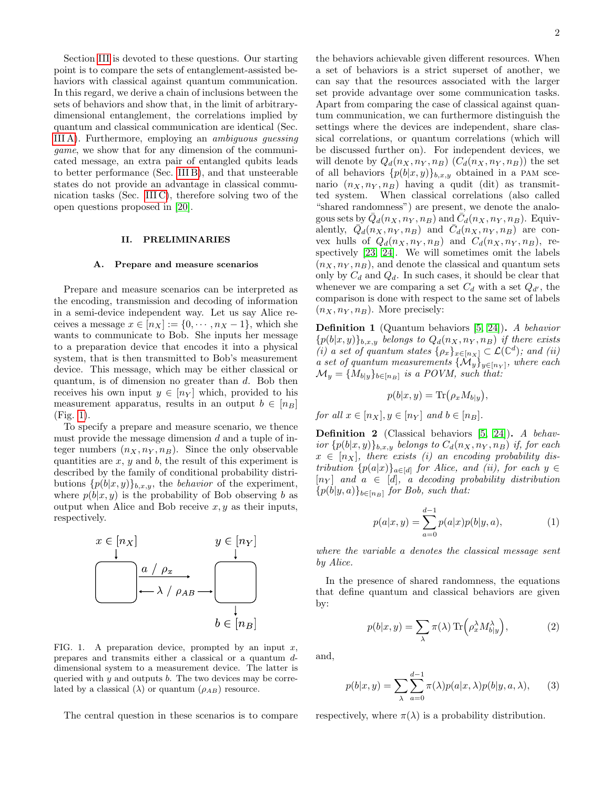Section [III](#page-3-0) is devoted to these questions. Our starting point is to compare the sets of entanglement-assisted behaviors with classical against quantum communication. In this regard, we derive a chain of inclusions between the sets of behaviors and show that, in the limit of arbitrarydimensional entanglement, the correlations implied by quantum and classical communication are identical (Sec. [III A\)](#page-3-1). Furthermore, employing an ambiguous guessing game, we show that for any dimension of the communicated message, an extra pair of entangled qubits leads to better performance (Sec. [III B\)](#page-4-0), and that unsteerable states do not provide an advantage in classical communication tasks (Sec. [III C\)](#page-5-0), therefore solving two of the open questions proposed in [\[20\]](#page-11-14).

#### <span id="page-1-0"></span>II. PRELIMINARIES

#### <span id="page-1-1"></span>A. Prepare and measure scenarios

Prepare and measure scenarios can be interpreted as the encoding, transmission and decoding of information in a semi-device independent way. Let us say Alice receives a message  $x \in [n_X] := \{0, \dots, n_X - 1\}$ , which she wants to communicate to Bob. She inputs her message to a preparation device that encodes it into a physical system, that is then transmitted to Bob's measurement device. This message, which may be either classical or quantum, is of dimension no greater than d. Bob then receives his own input  $y \in [n_Y]$  which, provided to his measurement apparatus, results in an output  $b \in [n_B]$ (Fig. [1\)](#page-1-2).

To specify a prepare and measure scenario, we thence must provide the message dimension  $d$  and a tuple of integer numbers  $(n_X, n_Y, n_B)$ . Since the only observable quantities are  $x, y$  and  $b$ , the result of this experiment is described by the family of conditional probability distributions  $\{p(b|x,y)\}_{b,x,y}$ , the *behavior* of the experiment, where  $p(b|x, y)$  is the probability of Bob observing b as output when Alice and Bob receive  $x, y$  as their inputs, respectively.



<span id="page-1-2"></span>FIG. 1. A preparation device, prompted by an input  $x$ , prepares and transmits either a classical or a quantum ddimensional system to a measurement device. The latter is queried with  $y$  and outputs  $b$ . The two devices may be correlated by a classical ( $\lambda$ ) or quantum ( $\rho_{AB}$ ) resource.

The central question in these scenarios is to compare

the behaviors achievable given different resources. When a set of behaviors is a strict superset of another, we can say that the resources associated with the larger set provide advantage over some communication tasks. Apart from comparing the case of classical against quantum communication, we can furthermore distinguish the settings where the devices are independent, share classical correlations, or quantum correlations (which will be discussed further on). For independent devices, we will denote by  $Q_d(n_X, n_Y, n_B)$   $(C_d(n_X, n_Y, n_B))$  the set of all behaviors  $\{p(b|x,y)\}_{b,x,y}$  obtained in a PAM scenario  $(n_X, n_Y, n_B)$  having a qudit (dit) as transmitted system. When classical correlations (also called "shared randomness") are present, we denote the analogous sets by  $\overline{Q}_d(n_X, n_Y, n_B)$  and  $\overline{C}_d(n_X, n_Y, n_B)$ . Equivalently,  $\overline{Q}_d(n_X, n_Y, n_B)$  and  $\overline{C}_d(n_X, n_Y, n_B)$  are convex hulls of  $Q_d(n_X, n_Y, n_B)$  and  $C_d(n_X, n_Y, n_B)$ , respectively [\[23,](#page-11-15) [24\]](#page-11-16). We will sometimes omit the labels  $(n_X, n_Y, n_B)$ , and denote the classical and quantum sets only by  $C_d$  and  $Q_d$ . In such cases, it should be clear that whenever we are comparing a set  $C_d$  with a set  $Q_{d'}$ , the comparison is done with respect to the same set of labels  $(n_X, n_Y, n_B)$ . More precisely:

Definition 1 (Quantum behaviors [\[5,](#page-11-0) [24\]](#page-11-16)). A behavior  ${p(b|x,y)}_{b,x,y}$  belongs to  $Q_d(n_X, n_Y, n_B)$  if there exists (i) a set of quantum states  $\{\rho_x\}_{x \in [n_X]} \subset \mathcal{L}(\mathbb{C}^d)$ ; and (ii) a set of quantum measurements  $\{M_y\}_{y\in[n_Y]}$ , where each  $\mathcal{M}_y = \{M_{b|y}\}_{b \in [n_B]}$  is a POVM, such that:

$$
p(b|x, y) = \text{Tr}(\rho_x M_{b|y}),
$$

for all  $x \in [n_X], y \in [n_Y]$  and  $b \in [n_B]$ .

Definition 2 (Classical behaviors [\[5,](#page-11-0) [24\]](#page-11-16)). A behavior  $\{p(b|x,y)\}_{b,x,y}$  belongs to  $C_d(n_X, n_Y, n_B)$  if, for each  $x \in [n_X]$ , there exists (i) an encoding probability distribution  $\{p(a|x)\}_{a\in[d]}$  for Alice, and (ii), for each  $y \in$  $[n_Y]$  and  $a \in [d]$ , a decoding probability distribution  ${p(b|y,a)}_{b\in[n_B]}$  for Bob, such that:

$$
p(a|x,y) = \sum_{a=0}^{d-1} p(a|x)p(b|y,a),
$$
 (1)

where the variable a denotes the classical message sent by Alice.

In the presence of shared randomness, the equations that define quantum and classical behaviors are given by:

$$
p(b|x,y) = \sum_{\lambda} \pi(\lambda) \operatorname{Tr} \left( \rho_x^{\lambda} M_{b|y}^{\lambda} \right), \tag{2}
$$

and,

<span id="page-1-3"></span>
$$
p(b|x,y) = \sum_{\lambda} \sum_{a=0}^{d-1} \pi(\lambda) p(a|x,\lambda) p(b|y,a,\lambda), \quad (3)
$$

respectively, where  $\pi(\lambda)$  is a probability distribution.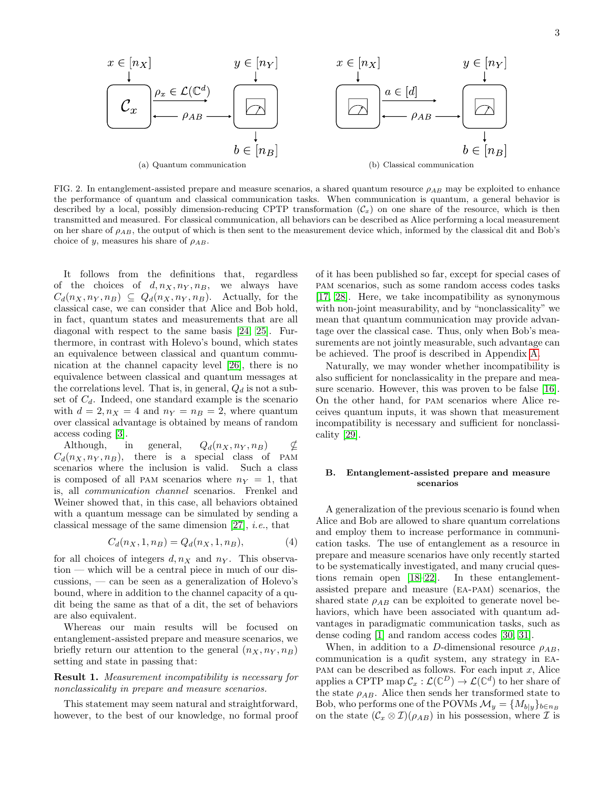<span id="page-2-1"></span>

FIG. 2. In entanglement-assisted prepare and measure scenarios, a shared quantum resource  $\rho_{AB}$  may be exploited to enhance the performance of quantum and classical communication tasks. When communication is quantum, a general behavior is described by a local, possibly dimension-reducing CPTP transformation  $(C_x)$  on one share of the resource, which is then transmitted and measured. For classical communication, all behaviors can be described as Alice performing a local measurement on her share of  $\rho_{AB}$ , the output of which is then sent to the measurement device which, informed by the classical dit and Bob's choice of y, measures his share of  $\rho_{AB}$ .

It follows from the definitions that, regardless of the choices of  $d, n_X, n_Y, n_B$ , we always have  $C_d(n_X, n_Y, n_B) \subseteq Q_d(n_X, n_Y, n_B)$ . Actually, for the classical case, we can consider that Alice and Bob hold, in fact, quantum states and measurements that are all diagonal with respect to the same basis [\[24,](#page-11-16) [25\]](#page-11-17). Furthermore, in contrast with Holevo's bound, which states an equivalence between classical and quantum communication at the channel capacity level [\[26\]](#page-11-18), there is no equivalence between classical and quantum messages at the correlations level. That is, in general,  $Q_d$  is not a subset of  $C_d$ . Indeed, one standard example is the scenario with  $d = 2, n_X = 4$  and  $n_Y = n_B = 2$ , where quantum over classical advantage is obtained by means of random access coding [\[3\]](#page-10-2).

Although, in general,  $Q_d(n_X, n_Y, n_B) \not\subset$  $C_d(n_X, n_Y, n_B)$ , there is a special class of PAM scenarios where the inclusion is valid. Such a class is composed of all PAM scenarios where  $n_Y = 1$ , that is, all communication channel scenarios. Frenkel and Weiner showed that, in this case, all behaviors obtained with a quantum message can be simulated by sending a classical message of the same dimension  $[27]$ , *i.e.*, that

<span id="page-2-3"></span>
$$
C_d(n_X, 1, n_B) = Q_d(n_X, 1, n_B),
$$
 (4)

for all choices of integers  $d, n_X$  and  $n_Y$ . This observation — which will be a central piece in much of our discussions, — can be seen as a generalization of Holevo's bound, where in addition to the channel capacity of a qudit being the same as that of a dit, the set of behaviors are also equivalent.

Whereas our main results will be focused on entanglement-assisted prepare and measure scenarios, we briefly return our attention to the general  $(n_X, n_Y, n_B)$ setting and state in passing that:

<span id="page-2-4"></span>Result 1. Measurement incompatibility is necessary for nonclassicality in prepare and measure scenarios.

This statement may seem natural and straightforward, however, to the best of our knowledge, no formal proof <span id="page-2-2"></span>of it has been published so far, except for special cases of pam scenarios, such as some random access codes tasks [\[17,](#page-11-11) [28\]](#page-11-20). Here, we take incompatibility as synonymous with non-joint measurability, and by "nonclassicality" we mean that quantum communication may provide advantage over the classical case. Thus, only when Bob's measurements are not jointly measurable, such advantage can be achieved. The proof is described in Appendix [A.](#page-6-0)

Naturally, we may wonder whether incompatibility is also sufficient for nonclassicality in the prepare and measure scenario. However, this was proven to be false [\[16\]](#page-11-10). On the other hand, for pam scenarios where Alice receives quantum inputs, it was shown that measurement incompatibility is necessary and sufficient for nonclassicality [\[29\]](#page-11-21).

## <span id="page-2-0"></span>B. Entanglement-assisted prepare and measure scenarios

A generalization of the previous scenario is found when Alice and Bob are allowed to share quantum correlations and employ them to increase performance in communication tasks. The use of entanglement as a resource in prepare and measure scenarios have only recently started to be systematically investigated, and many crucial questions remain open [\[18](#page-11-12)[–22\]](#page-11-13). In these entanglementassisted prepare and measure (ea-pam) scenarios, the shared state  $\rho_{AB}$  can be exploited to generate novel behaviors, which have been associated with quantum advantages in paradigmatic communication tasks, such as dense coding [\[1\]](#page-10-0) and random access codes [\[30,](#page-11-22) [31\]](#page-11-23).

When, in addition to a D-dimensional resource  $\rho_{AB}$ , communication is a qudit system, any strategy in ea-PAM can be described as follows. For each input  $x$ , Alice applies a CPTP map  $\mathcal{C}_x : \mathcal{L}(\mathbb{C}^D) \to \mathcal{L}(\mathbb{C}^d)$  to her share of the state  $\rho_{AB}$ . Alice then sends her transformed state to Bob, who performs one of the POVMs  $\mathcal{M}_y = \{M_{b|y}\}_{b \in n_B}$ on the state  $(\mathcal{C}_x \otimes \mathcal{I})(\rho_{AB})$  in his possession, where  $\mathcal I$  is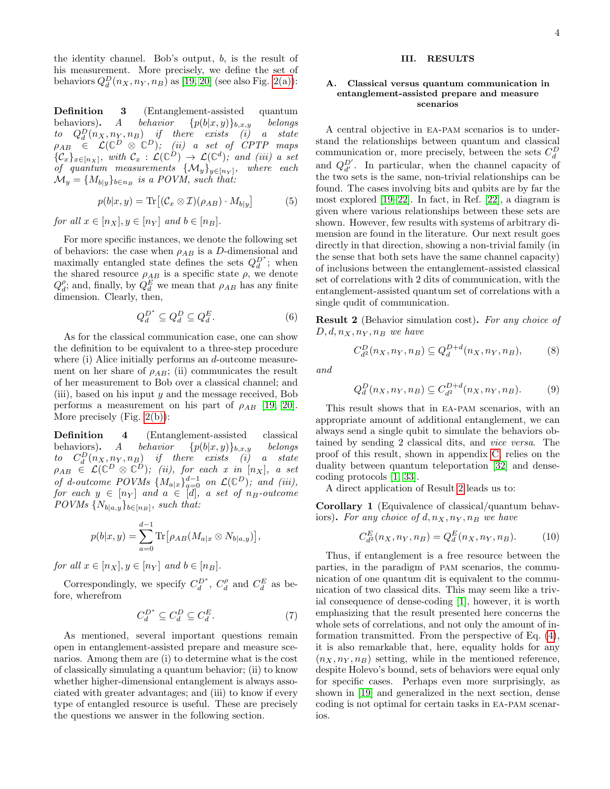the identity channel. Bob's output,  $b$ , is the result of his measurement. More precisely, we define the set of behaviors  $Q_d^D(n_X, n_Y, n_B)$  as [\[19,](#page-11-24) [20\]](#page-11-14) (see also Fig. [2\(a\)\)](#page-2-1):

<span id="page-3-5"></span>Definition 3 (Entanglement-assisted quantum behaviors). A behavior  $\{p(b|x,y)\}_{b,x,y}$  belongs to  $Q_d^D(n_X, n_Y, n_B)$  if there exists (i) a state  $\rho_{AB} \in \mathcal{L}(\mathbb{C}^D \otimes \mathbb{C}^D);$  (ii) a set of CPTP maps  $\{\mathcal{C}_x\}_{x\in[n_X]},$  with  $\mathcal{C}_x : \mathcal{L}(\mathbb{C}^D) \to \mathcal{L}(\mathbb{C}^d)$ ; and (iii) a set of quantum measurements  $\{\mathcal{M}_y\}_{y\in[n_Y]},$  where each  $\mathcal{M}_y = \{M_{b|y}\}_{b \in n_B}$  is a POVM, such that:

<span id="page-3-6"></span>
$$
p(b|x, y) = \text{Tr}\left[ (\mathcal{C}_x \otimes \mathcal{I})(\rho_{AB}) \cdot M_{b|y} \right] \tag{5}
$$

for all  $x \in [n_X], y \in [n_Y]$  and  $b \in [n_B]$ .

For more specific instances, we denote the following set of behaviors: the case when  $\rho_{AB}$  is a D-dimensional and maximally entangled state defines the sets  $Q_d^{D^*}$ ; when the shared resource  $\rho_{AB}$  is a specific state  $\rho$ , we denote  $Q_d^{\rho}$ ; and, finally, by  $Q_d^E$  we mean that  $\rho_{AB}$  has any finite dimension. Clearly, then,

$$
Q_d^{D^*} \subseteq Q_d^D \subseteq Q_d^E. \tag{6}
$$

As for the classical communication case, one can show the definition to be equivalent to a three-step procedure where (i) Alice initially performs an d-outcome measurement on her share of  $\rho_{AB}$ ; (ii) communicates the result of her measurement to Bob over a classical channel; and (iii), based on his input y and the message received, Bob performs a measurement on his part of  $\rho_{AB}$  [\[19,](#page-11-24) [20\]](#page-11-14). More precisely (Fig. [2\(b\)\)](#page-2-2):

<span id="page-3-3"></span>Definition 4 (Entanglement-assisted classical behaviors). A behavior  $\{p(b|x,y)\}_{b,x,y}$  belongs to  $C_d^D(n_X, n_Y, n_B)$  if there exists (i) a state  $\rho_{AB}$   $\in \mathcal{L}(\mathbb{C}^D \otimes \mathbb{C}^D);$  (ii), for each x in  $[n_X],$  a set of d-outcome POVMs  $\{M_{a|x}\}_{a=0}^{d-1}$  on  $\mathcal{L}(\mathbb{C}^D)$ ; and (iii),  $for\,\, each \,\, y \,\in\, [n_Y] \,\, and \,\, a \,\, \in\, [d], \,\, a \,\, set \,\, of \,\, n_B\text{-}outcome$  $POVMs \{N_{b|a,y}\}_{b \in [n_B]},$  such that:

$$
p(b|x,y) = \sum_{a=0}^{d-1} \text{Tr} \big[ \rho_{AB} (M_{a|x} \otimes N_{b|a,y}) \big],
$$

for all  $x \in [n_X], y \in [n_Y]$  and  $b \in [n_B]$ .

Correspondingly, we specify  $C_d^{D^*}$ ,  $C_d^{\rho}$  and  $C_d^E$  as before, wherefrom

$$
C_d^{D^*} \subseteq C_d^D \subseteq C_d^E. \tag{7}
$$

As mentioned, several important questions remain open in entanglement-assisted prepare and measure scenarios. Among them are (i) to determine what is the cost of classically simulating a quantum behavior; (ii) to know whether higher-dimensional entanglement is always associated with greater advantages; and (iii) to know if every type of entangled resource is useful. These are precisely the questions we answer in the following section.

#### <span id="page-3-0"></span>III. RESULTS

#### <span id="page-3-1"></span>A. Classical versus quantum communication in entanglement-assisted prepare and measure scenarios

A central objective in ea-pam scenarios is to understand the relationships between quantum and classical communication or, more precisely, between the sets  $C_d^D$ and  $Q_{d'}^{D'}$ . In particular, when the channel capacity of the two sets is the same, non-trivial relationships can be found. The cases involving bits and qubits are by far the most explored [\[19](#page-11-24)[–22\]](#page-11-13). In fact, in Ref. [\[22\]](#page-11-13), a diagram is given where various relationships between these sets are shown. However, few results with systems of arbitrary dimension are found in the literature. Our next result goes directly in that direction, showing a non-trivial family (in the sense that both sets have the same channel capacity) of inclusions between the entanglement-assisted classical set of correlations with 2 dits of communication, with the entanglement-assisted quantum set of correlations with a single qudit of communication.

<span id="page-3-2"></span>Result 2 (Behavior simulation cost). For any choice of  $D, d, n_X, n_Y, n_B$  we have

$$
C_{d^{2}}^{D}(n_{X}, n_{Y}, n_{B}) \subseteq Q_{d}^{D+d}(n_{X}, n_{Y}, n_{B}), \qquad (8)
$$

and

$$
Q_d^D(n_X, n_Y, n_B) \subseteq C_{d^2}^{D+d}(n_X, n_Y, n_B).
$$
 (9)

This result shows that in ea-pam scenarios, with an appropriate amount of additional entanglement, we can always send a single qubit to simulate the behaviors obtained by sending 2 classical dits, and vice versa. The proof of this result, shown in appendix [C,](#page-8-0) relies on the duality between quantum teleportation [\[32\]](#page-11-25) and densecoding protocols [\[1,](#page-10-0) [33\]](#page-11-26).

A direct application of Result [2](#page-3-2) leads us to:

<span id="page-3-4"></span>Corollary 1 (Equivalence of classical/quantum behaviors). For any choice of  $d, n_X, n_Y, n_B$  we have

$$
C_{d^2}^E(n_X, n_Y, n_B) = Q_d^E(n_X, n_Y, n_B). \tag{10}
$$

Thus, if entanglement is a free resource between the parties, in the paradigm of pam scenarios, the communication of one quantum dit is equivalent to the communication of two classical dits. This may seem like a trivial consequence of dense-coding [\[1\]](#page-10-0), however, it is worth emphasizing that the result presented here concerns the whole sets of correlations, and not only the amount of information transmitted. From the perspective of Eq. [\(4\)](#page-2-3), it is also remarkable that, here, equality holds for any  $(n_X, n_Y, n_B)$  setting, while in the mentioned reference, despite Holevo's bound, sets of behaviors were equal only for specific cases. Perhaps even more surprisingly, as shown in [\[19\]](#page-11-24) and generalized in the next section, dense coding is not optimal for certain tasks in ea-pam scenarios.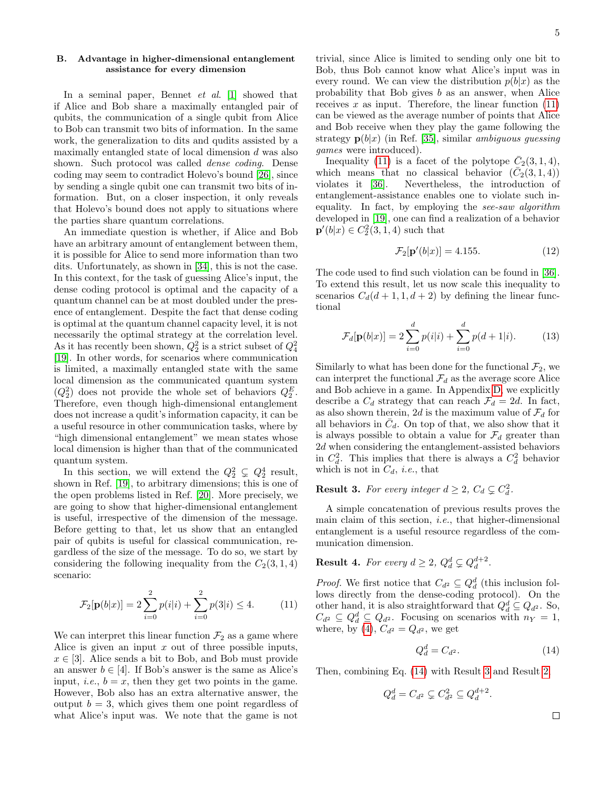## <span id="page-4-0"></span>B. Advantage in higher-dimensional entanglement assistance for every dimension

In a seminal paper, Bennet *et al.* [\[1\]](#page-10-0) showed that if Alice and Bob share a maximally entangled pair of qubits, the communication of a single qubit from Alice to Bob can transmit two bits of information. In the same work, the generalization to dits and qudits assisted by a maximally entangled state of local dimension d was also shown. Such protocol was called dense coding. Dense coding may seem to contradict Holevo's bound [\[26\]](#page-11-18), since by sending a single qubit one can transmit two bits of information. But, on a closer inspection, it only reveals that Holevo's bound does not apply to situations where the parties share quantum correlations.

An immediate question is whether, if Alice and Bob have an arbitrary amount of entanglement between them, it is possible for Alice to send more information than two dits. Unfortunately, as shown in [\[34\]](#page-11-27), this is not the case. In this context, for the task of guessing Alice's input, the dense coding protocol is optimal and the capacity of a quantum channel can be at most doubled under the presence of entanglement. Despite the fact that dense coding is optimal at the quantum channel capacity level, it is not necessarily the optimal strategy at the correlation level. As it has recently been shown,  $Q_2^2$  is a strict subset of  $Q_4^2$ [\[19\]](#page-11-24). In other words, for scenarios where communication is limited, a maximally entangled state with the same local dimension as the communicated quantum system  $(Q_2^2)$  does not provide the whole set of behaviors  $Q_2^E$ . Therefore, even though high-dimensional entanglement does not increase a qudit's information capacity, it can be a useful resource in other communication tasks, where by "high dimensional entanglement" we mean states whose local dimension is higher than that of the communicated quantum system.

In this section, we will extend the  $Q_2^2 \subsetneq Q_2^4$  result, shown in Ref. [\[19\]](#page-11-24), to arbitrary dimensions; this is one of the open problems listed in Ref. [\[20\]](#page-11-14). More precisely, we are going to show that higher-dimensional entanglement is useful, irrespective of the dimension of the message. Before getting to that, let us show that an entangled pair of qubits is useful for classical communication, regardless of the size of the message. To do so, we start by considering the following inequality from the  $C_2(3, 1, 4)$ scenario:

<span id="page-4-1"></span>
$$
\mathcal{F}_2[\mathbf{p}(b|x)] = 2\sum_{i=0}^2 p(i|i) + \sum_{i=0}^2 p(3|i) \le 4.
$$
 (11)

We can interpret this linear function  $\mathcal{F}_2$  as a game where Alice is given an input  $x$  out of three possible inputs,  $x \in [3]$ . Alice sends a bit to Bob, and Bob must provide an answer  $b \in [4]$ . If Bob's answer is the same as Alice's input, *i.e.*,  $b = x$ , then they get two points in the game. However, Bob also has an extra alternative answer, the output  $b = 3$ , which gives them one point regardless of what Alice's input was. We note that the game is not

trivial, since Alice is limited to sending only one bit to Bob, thus Bob cannot know what Alice's input was in every round. We can view the distribution  $p(b|x)$  as the probability that Bob gives  $b$  as an answer, when Alice receives  $x$  as input. Therefore, the linear function  $(11)$ can be viewed as the average number of points that Alice and Bob receive when they play the game following the strategy  $p(b|x)$  (in Ref. [\[35\]](#page-11-28), similar *ambiguous guessing* games were introduced).

Inequality [\(11\)](#page-4-1) is a facet of the polytope  $\overline{C}_2(3,1,4)$ , which means that no classical behavior  $(\bar{C}_2(3,1,4))$ violates it [\[36\]](#page-11-29). Nevertheless, the introduction of entanglement-assistance enables one to violate such inequality. In fact, by employing the see-saw algorithm developed in [\[19\]](#page-11-24), one can find a realization of a behavior  $\mathbf{p}'(b|x) \in C_2^2(3,1,4)$  such that

$$
\mathcal{F}_2[\mathbf{p}'(b|x)] = 4.155. \tag{12}
$$

The code used to find such violation can be found in [\[36\]](#page-11-29). To extend this result, let us now scale this inequality to scenarios  $C_d(d+1, 1, d+2)$  by defining the linear functional

$$
\mathcal{F}_d[\mathbf{p}(b|x)] = 2\sum_{i=0}^d p(i|i) + \sum_{i=0}^d p(d+1|i). \tag{13}
$$

Similarly to what has been done for the functional  $\mathcal{F}_2$ , we can interpret the functional  $\mathcal{F}_d$  as the average score Alice and Bob achieve in a game. In Appendix [D,](#page-9-0) we explicitly describe a  $C_d$  strategy that can reach  $\mathcal{F}_d = 2d$ . In fact, as also shown therein, 2d is the maximum value of  $\mathcal{F}_d$  for all behaviors in  $\bar{C}_d$ . On top of that, we also show that it is always possible to obtain a value for  $\mathcal{F}_d$  greater than 2d when considering the entanglement-assisted behaviors in  $C_d^2$ . This implies that there is always a  $C_d^2$  behavior which is not in  $C_d$ , *i.e.*, that

# <span id="page-4-3"></span>**Result 3.** For every integer  $d \geq 2$ ,  $C_d \subsetneq C_d^2$ .

A simple concatenation of previous results proves the main claim of this section, i.e., that higher-dimensional entanglement is a useful resource regardless of the communication dimension.

**Result 4.** For every  $d \geq 2$ ,  $Q_d^d \subsetneq Q_d^{d+2}$ .

*Proof.* We first notice that  $C_{d^2} \subseteq Q_d^d$  (this inclusion follows directly from the dense-coding protocol). On the other hand, it is also straightforward that  $Q_d^d \subseteq Q_{d^2}$ . So,  $C_{d^2} \subseteq Q_d^d \subseteq Q_{d^2}$ . Focusing on scenarios with  $n_Y = 1$ , where, by [\(4\)](#page-2-3),  $C_{d^2} = Q_{d^2}$ , we get

<span id="page-4-2"></span>
$$
Q_d^d = C_{d^2}.\tag{14}
$$

Then, combining Eq. [\(14\)](#page-4-2) with Result [3](#page-4-3) and Result [2,](#page-3-2)

$$
Q_d^d = C_{d^2} \subsetneq C_{d^2}^2 \subseteq Q_d^{d+2}.
$$

 $\Box$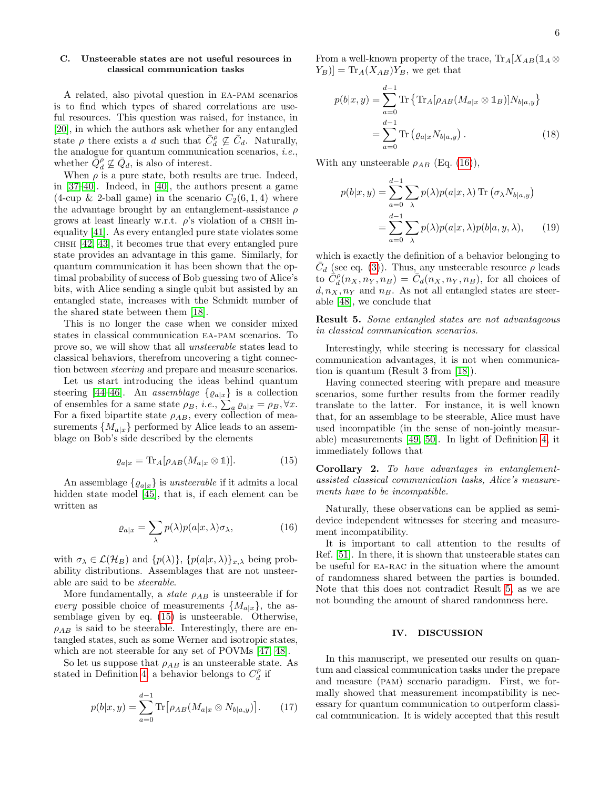## <span id="page-5-0"></span>C. Unsteerable states are not useful resources in classical communication tasks

A related, also pivotal question in ea-pam scenarios is to find which types of shared correlations are useful resources. This question was raised, for instance, in [\[20\]](#page-11-14), in which the authors ask whether for any entangled state  $\rho$  there exists a d such that  $\bar{C}_d^{\rho} \not\subseteq \bar{C}_d$ . Naturally, the analogue for quantum communication scenarios, i.e., whether  $\overline{\tilde{Q}}_d^{\rho} \nsubseteq \overline{Q}_d$ , is also of interest.

When  $\rho$  is a pure state, both results are true. Indeed, in [\[37](#page-11-30)[–40\]](#page-11-31). Indeed, in [\[40\]](#page-11-31), the authors present a game (4-cup & 2-ball game) in the scenario  $C_2(6,1,4)$  where the advantage brought by an entanglement-assistance  $\rho$ grows at least linearly w.r.t.  $\rho$ 's violation of a CHSH inequality [\[41\]](#page-11-32). As every entangled pure state violates some chsh [\[42,](#page-11-33) [43\]](#page-11-34), it becomes true that every entangled pure state provides an advantage in this game. Similarly, for quantum communication it has been shown that the optimal probability of success of Bob guessing two of Alice's bits, with Alice sending a single qubit but assisted by an entangled state, increases with the Schmidt number of the shared state between them [\[18\]](#page-11-12).

This is no longer the case when we consider mixed states in classical communication ea-pam scenarios. To prove so, we will show that all unsteerable states lead to classical behaviors, therefrom uncovering a tight connection between steering and prepare and measure scenarios.

Let us start introducing the ideas behind quantum steering [\[44](#page-12-0)[–46\]](#page-12-1). An assemblage  $\{ \varrho_{a|x} \}$  is a collection of ensembles for a same state  $\rho_B$ , *i.e.*,  $\sum_a \varrho_{a|x} = \rho_B$ ,  $\forall x$ . For a fixed bipartite state  $\rho_{AB}$ , every collection of measurements  $\{M_{a|x}\}\$  performed by Alice leads to an assemblage on Bob's side described by the elements

<span id="page-5-1"></span>
$$
\varrho_{a|x} = \text{Tr}_A[\rho_{AB}(M_{a|x} \otimes \mathbb{1})]. \tag{15}
$$

An assemblage  $\{ \varrho_{a|x} \}$  is unsteerable if it admits a local hidden state model [\[45\]](#page-12-2), that is, if each element can be written as

<span id="page-5-2"></span>
$$
\varrho_{a|x} = \sum_{\lambda} p(\lambda) p(a|x, \lambda) \sigma_{\lambda}, \tag{16}
$$

with  $\sigma_{\lambda} \in \mathcal{L}(\mathcal{H}_{B})$  and  $\{p(\lambda)\}, \{p(a|x,\lambda)\}_{x,\lambda}$  being probability distributions. Assemblages that are not unsteerable are said to be steerable.

More fundamentally, a *state*  $\rho_{AB}$  is unsteerable if for every possible choice of measurements  $\{M_{a|x}\}\$ , the assemblage given by eq. [\(15\)](#page-5-1) is unsteerable. Otherwise,  $\rho_{AB}$  is said to be steerable. Interestingly, there are entangled states, such as some Werner and isotropic states, which are not steerable for any set of POVMs [\[47,](#page-12-3) [48\]](#page-12-4).

So let us suppose that  $\rho_{AB}$  is an unsteerable state. As stated in Definition [4,](#page-3-3) a behavior belongs to  $C_d^{\rho}$  if

$$
p(b|x,y) = \sum_{a=0}^{d-1} \text{Tr} \left[ \rho_{AB} (M_{a|x} \otimes N_{b|a,y}) \right]. \tag{17}
$$

From a well-known property of the trace,  $\text{Tr}_{A}[X_{AB}(\mathbb{1}_{A} \otimes$  $[Y_B] = \text{Tr}_A(X_{AB})Y_B$ , we get that

$$
p(b|x,y) = \sum_{a=0}^{d-1} \text{Tr} \left\{ \text{Tr}_A[\rho_{AB}(M_{a|x} \otimes \mathbb{1}_B)] N_{b|a,y} \right\}
$$

$$
= \sum_{a=0}^{d-1} \text{Tr} \left( \varrho_{a|x} N_{b|a,y} \right). \tag{18}
$$

With any unsteerable  $\rho_{AB}$  (Eq. [\(16\)](#page-5-2)),

$$
p(b|x,y) = \sum_{a=0}^{d-1} \sum_{\lambda} p(\lambda) p(a|x,\lambda) \operatorname{Tr} (\sigma_{\lambda} N_{b|a,y})
$$
  
= 
$$
\sum_{a=0}^{d-1} \sum_{\lambda} p(\lambda) p(a|x,\lambda) p(b|a,y,\lambda), \qquad (19)
$$

which is exactly the definition of a behavior belonging to  $\overline{C}_d$  (see eq. [\(3\)](#page-1-3)). Thus, any unsteerable resource  $\rho$  leads to  $\hat{C}_d^{\rho}(n_X, n_Y, n_B) = \hat{C}_d(n_X, n_Y, n_B)$ , for all choices of  $d, n_X, n_Y$  and  $n_B$ . As not all entangled states are steerable [\[48\]](#page-12-4), we conclude that

<span id="page-5-3"></span>Result 5. Some entangled states are not advantageous in classical communication scenarios.

Interestingly, while steering is necessary for classical communication advantages, it is not when communication is quantum (Result 3 from [\[18\]](#page-11-12)).

Having connected steering with prepare and measure scenarios, some further results from the former readily translate to the latter. For instance, it is well known that, for an assemblage to be steerable, Alice must have used incompatible (in the sense of non-jointly measurable) measurements [\[49,](#page-12-5) [50\]](#page-12-6). In light of Definition [4,](#page-3-3) it immediately follows that

<span id="page-5-4"></span>Corollary 2. To have advantages in entanglementassisted classical communication tasks, Alice's measurements have to be incompatible.

Naturally, these observations can be applied as semidevice independent witnesses for steering and measurement incompatibility.

It is important to call attention to the results of Ref. [\[51\]](#page-12-7). In there, it is shown that unsteerable states can be useful for EA-RAC in the situation where the amount of randomness shared between the parties is bounded. Note that this does not contradict Result [5,](#page-5-3) as we are not bounding the amount of shared randomness here.

#### IV. DISCUSSION

In this manuscript, we presented our results on quantum and classical communication tasks under the prepare and measure (pam) scenario paradigm. First, we formally showed that measurement incompatibility is necessary for quantum communication to outperform classical communication. It is widely accepted that this result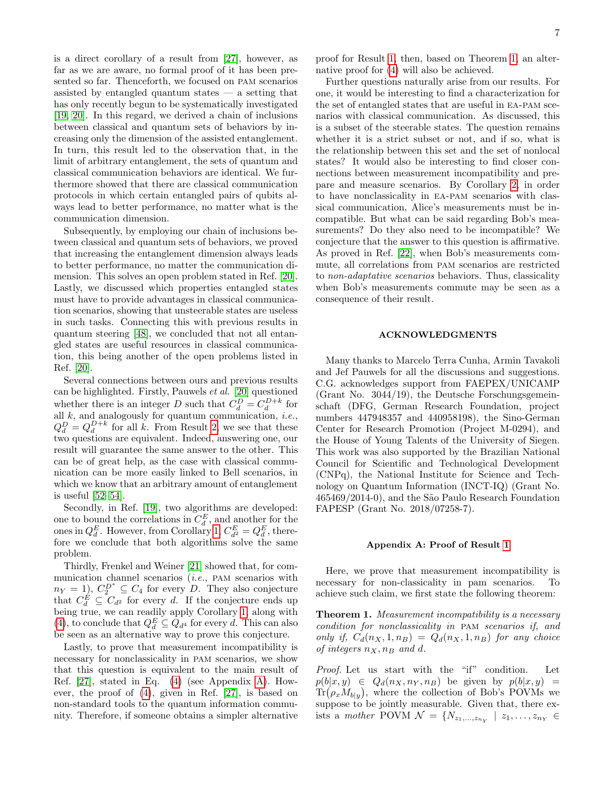is a direct corollary of a result from [\[27\]](#page-11-19), however, as far as we are aware, no formal proof of it has been presented so far. Thenceforth, we focused on pam scenarios assisted by entangled quantum states  $-$  a setting that has only recently begun to be systematically investigated [\[19,](#page-11-24) [20\]](#page-11-14). In this regard, we derived a chain of inclusions between classical and quantum sets of behaviors by increasing only the dimension of the assisted entanglement. In turn, this result led to the observation that, in the limit of arbitrary entanglement, the sets of quantum and classical communication behaviors are identical. We furthermore showed that there are classical communication protocols in which certain entangled pairs of qubits always lead to better performance, no matter what is the communication dimension.

Subsequently, by employing our chain of inclusions between classical and quantum sets of behaviors, we proved that increasing the entanglement dimension always leads to better performance, no matter the communication dimension. This solves an open problem stated in Ref. [\[20\]](#page-11-14). Lastly, we discussed which properties entangled states must have to provide advantages in classical communication scenarios, showing that unsteerable states are useless in such tasks. Connecting this with previous results in quantum steering [\[48\]](#page-12-4), we concluded that not all entangled states are useful resources in classical communication, this being another of the open problems listed in Ref. [\[20\]](#page-11-14).

Several connections between ours and previous results can be highlighted. Firstly, Pauwels et al. [\[20\]](#page-11-14) questioned whether there is an integer D such that  $C_d^D = C_d^{D+k}$  for all  $k$ , and analogously for quantum communication, *i.e.*,  $Q_d^D = Q_d^{D+k}$  for all k. From Result [2,](#page-3-2) we see that these two questions are equivalent. Indeed, answering one, our result will guarantee the same answer to the other. This can be of great help, as the case with classical communication can be more easily linked to Bell scenarios, in which we know that an arbitrary amount of entanglement is useful [\[52](#page-12-8)[–54\]](#page-12-9).

Secondly, in Ref. [\[19\]](#page-11-24), two algorithms are developed: one to bound the correlations in  $C_d^E$ , and another for the ones in  $Q_d^E$ . However, from Corollary [1,](#page-3-4)  $C_{d^2}^E = Q_d^E$ , therefore we conclude that both algorithms solve the same problem.

Thirdly, Frenkel and Weiner [\[21\]](#page-11-35) showed that, for communication channel scenarios (i.e., pam scenarios with  $n_Y = 1$ ,  $C_2^{D^*} \subseteq C_4$  for every D. They also conjecture that  $C_d^E \subseteq C_{d^2}$  for every d. If the conjecture ends up being true, we can readily apply Corollary [1,](#page-3-4) along with [\(4\)](#page-2-3), to conclude that  $Q_d^E \subseteq Q_{d^4}$  for every d. This can also be seen as an alternative way to prove this conjecture.

Lastly, to prove that measurement incompatibility is necessary for nonclassicality in pam scenarios, we show that this question is equivalent to the main result of Ref. [\[27\]](#page-11-19), stated in Eq. [\(4\)](#page-2-3) (see Appendix [A\)](#page-6-0). However, the proof of [\(4\)](#page-2-3), given in Ref. [\[27\]](#page-11-19), is based on non-standard tools to the quantum information community. Therefore, if someone obtains a simpler alternative

proof for Result [1,](#page-2-4) then, based on Theorem [1,](#page-6-1) an alternative proof for [\(4\)](#page-2-3) will also be achieved.

Further questions naturally arise from our results. For one, it would be interesting to find a characterization for the set of entangled states that are useful in ea-pam scenarios with classical communication. As discussed, this is a subset of the steerable states. The question remains whether it is a strict subset or not, and if so, what is the relationship between this set and the set of nonlocal states? It would also be interesting to find closer connections between measurement incompatibility and prepare and measure scenarios. By Corollary [2,](#page-5-4) in order to have nonclassicality in ea-pam scenarios with classical communication, Alice's measurements must be incompatible. But what can be said regarding Bob's measurements? Do they also need to be incompatible? We conjecture that the answer to this question is affirmative. As proved in Ref. [\[22\]](#page-11-13), when Bob's measurements commute, all correlations from pam scenarios are restricted to non-adaptative scenarios behaviors. Thus, classicality when Bob's measurements commute may be seen as a consequence of their result.

### ACKNOWLEDGMENTS

Many thanks to Marcelo Terra Cunha, Armin Tavakoli and Jef Pauwels for all the discussions and suggestions. C.G. acknowledges support from FAEPEX/UNICAMP (Grant No. 3044/19), the Deutsche Forschungsgemeinschaft (DFG, German Research Foundation, project numbers 447948357 and 440958198), the Sino-German Center for Research Promotion (Project M-0294), and the House of Young Talents of the University of Siegen. This work was also supported by the Brazilian National Council for Scientific and Technological Development (CNPq), the National Institute for Science and Technology on Quantum Information (INCT-IQ) (Grant No. 465469/2014-0), and the São Paulo Research Foundation FAPESP (Grant No. 2018/07258-7).

#### <span id="page-6-0"></span>Appendix A: Proof of Result [1](#page-2-4)

Here, we prove that measurement incompatibility is necessary for non-classicality in pam scenarios. To achieve such claim, we first state the following theorem:

<span id="page-6-1"></span>**Theorem 1.** Measurement incompatibility is a necessary condition for nonclassicality in pam scenarios if, and only if,  $C_d(n_X, 1, n_B) = Q_d(n_X, 1, n_B)$  for any choice of integers  $n_X, n_B$  and d.

Proof. Let us start with the "if" condition. Let  $p(b|x,y) \in Q_d(n_X, n_Y, n_B)$  be given by  $p(b|x,y) =$  $\text{Tr}(\rho_x M_{b|y})$ , where the collection of Bob's POVMs we suppose to be jointly measurable. Given that, there exists a mother POVM  $\mathcal{N} = \{N_{z_1,...,z_{n_Y}} \mid z_1,...,z_{n_Y} \in$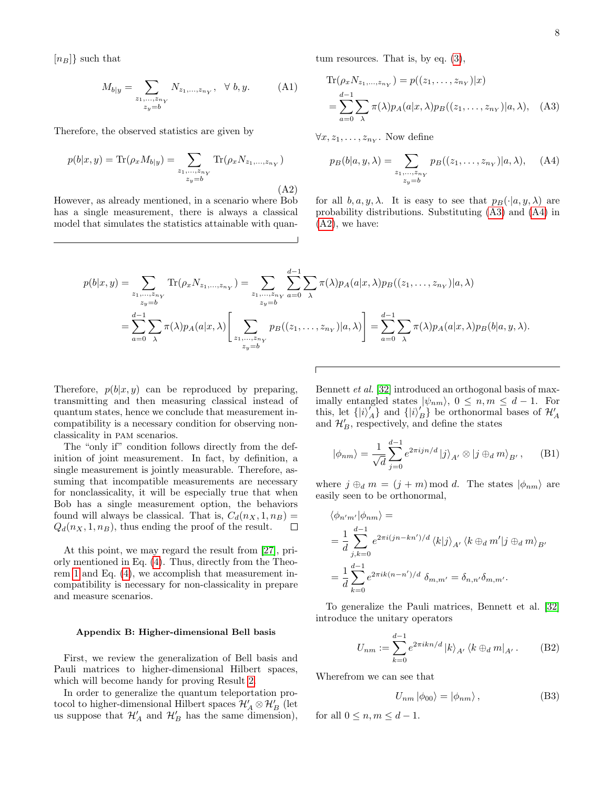$[n_B]$  such that

$$
M_{b|y} = \sum_{\substack{z_1, ..., z_{n_Y} \\ z_y = b}} N_{z_1, ..., z_{n_Y}}, \quad \forall \ b, y. \tag{A1}
$$

Therefore, the observed statistics are given by

<span id="page-7-2"></span>
$$
p(b|x, y) = \text{Tr}(\rho_x M_{b|y}) = \sum_{\substack{z_1, ..., z_{n_Y} \\ z_y = b}} \text{Tr}(\rho_x N_{z_1, ..., z_{n_Y}})
$$
\n(A2)

However, as already mentioned, in a scenario where Bob has a single measurement, there is always a classical model that simulates the statistics attainable with quan-

tum resources. That is, by eq. 
$$
(3)
$$
,

<span id="page-7-0"></span>
$$
\operatorname{Tr}(\rho_x N_{z_1,\dots,z_{n_Y}}) = p((z_1,\dots,z_{n_Y})|x)
$$
  
= 
$$
\sum_{a=0}^{d-1} \sum_{\lambda} \pi(\lambda) p_A(a|x,\lambda) p_B((z_1,\dots,z_{n_Y})|a,\lambda), \quad \text{(A3)}
$$

 $\forall x, z_1, \ldots, z_{n_Y}$ . Now define

<span id="page-7-1"></span>
$$
p_B(b|a, y, \lambda) = \sum_{\substack{z_1, \dots, z_{n_Y} \\ z_y = b}} p_B((z_1, \dots, z_{n_Y})|a, \lambda), \quad (A4)
$$

for all  $b, a, y, \lambda$ . It is easy to see that  $p_B(\cdot|a, y, \lambda)$  are probability distributions. Substituting [\(A3\)](#page-7-0) and [\(A4\)](#page-7-1) in [\(A2\)](#page-7-2), we have:

$$
p(b|x,y) = \sum_{\substack{z_1,\ldots,z_{n_Y}\\z_y=b}} \text{Tr}(\rho_x N_{z_1,\ldots,z_{n_Y}}) = \sum_{\substack{z_1,\ldots,z_{n_Y}\\z_y=b}} \sum_{a=0}^{d-1} \sum_{\lambda} \pi(\lambda) p_A(a|x,\lambda) p_B((z_1,\ldots,z_{n_Y})|a,\lambda)
$$

$$
= \sum_{a=0}^{d-1} \sum_{\lambda} \pi(\lambda) p_A(a|x,\lambda) \left[ \sum_{\substack{z_1,\ldots,z_{n_Y}\\z_y=b}} p_B((z_1,\ldots,z_{n_Y})|a,\lambda) \right] = \sum_{a=0}^{d-1} \sum_{\lambda} \pi(\lambda) p_A(a|x,\lambda) p_B(b|a,y,\lambda).
$$

Therefore,  $p(b|x, y)$  can be reproduced by preparing, transmitting and then measuring classical instead of quantum states, hence we conclude that measurement incompatibility is a necessary condition for observing nonclassicality in pam scenarios.

The "only if" condition follows directly from the definition of joint measurement. In fact, by definition, a single measurement is jointly measurable. Therefore, assuming that incompatible measurements are necessary for nonclassicality, it will be especially true that when Bob has a single measurement option, the behaviors found will always be classical. That is,  $C_d(n_X, 1, n_B) =$  $Q_d(n_X, 1, n_B)$ , thus ending the proof of the result.  $\Box$ 

At this point, we may regard the result from [\[27\]](#page-11-19), priorly mentioned in Eq. [\(4\)](#page-2-3). Thus, directly from the Theorem [1](#page-6-1) and Eq. [\(4\)](#page-2-3), we accomplish that measurement incompatibility is necessary for non-classicality in prepare and measure scenarios.

#### Appendix B: Higher-dimensional Bell basis

First, we review the generalization of Bell basis and Pauli matrices to higher-dimensional Hilbert spaces, which will become handy for proving Result [2.](#page-3-2)

In order to generalize the quantum teleportation protocol to higher-dimensional Hilbert spaces  $\mathcal{H}_A'\otimes\mathcal{H}_B'$  (let us suppose that  $\mathcal{H}'_A$  and  $\mathcal{H}'_B$  has the same dimension),

Bennett et al. [\[32\]](#page-11-25) introduced an orthogonal basis of maximally entangled states  $|\psi_{nm}\rangle$ ,  $0 \leq n, m \leq d-1$ . For this, let  $\{|i\rangle_{A}'}^{'}\}$  and  $\{|i\rangle_{B}'}^{'}\}$  be orthonormal bases of  $\mathcal{H}'_{A}$ and  $\mathcal{H}'_B$ , respectively, and define the states

<span id="page-7-3"></span>
$$
|\phi_{nm}\rangle = \frac{1}{\sqrt{d}} \sum_{j=0}^{d-1} e^{2\pi i j n/d} |j\rangle_{A'} \otimes |j \oplus_d m\rangle_{B'}, \quad \text{(B1)}
$$

where  $j \oplus_d m = (j + m) \mod d$ . The states  $|\phi_{nm}\rangle$  are easily seen to be orthonormal,

$$
\langle \phi_{n'm'} | \phi_{nm} \rangle =
$$
  
=  $\frac{1}{d} \sum_{j,k=0}^{d-1} e^{2\pi i (jn - kn')/d} \langle k | j \rangle_{A'} \langle k \oplus_d m' | j \oplus_d m \rangle_{B'}$   
=  $\frac{1}{d} \sum_{k=0}^{d-1} e^{2\pi i k (n - n')/d} \delta_{m,m'} = \delta_{n,n'} \delta_{m,m'}.$ 

To generalize the Pauli matrices, Bennett et al. [\[32\]](#page-11-25) introduce the unitary operators

$$
U_{nm} := \sum_{k=0}^{d-1} e^{2\pi i k n/d} |k\rangle_{A'} \langle k \oplus_d m|_{A'}.
$$
 (B2)

Wherefrom we can see that

<span id="page-7-5"></span><span id="page-7-4"></span>
$$
U_{nm} |\phi_{00}\rangle = |\phi_{nm}\rangle, \qquad (B3)
$$

for all  $0 \leq n, m \leq d - 1$ .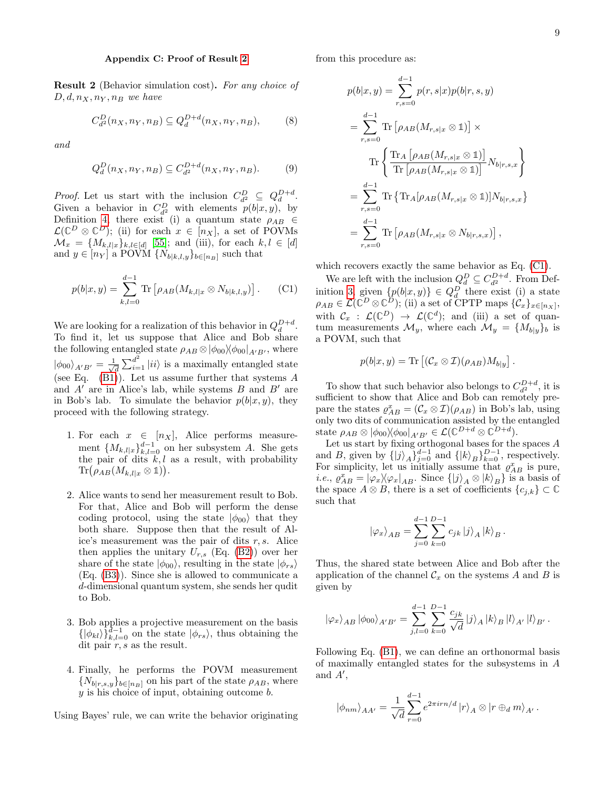#### <span id="page-8-0"></span>Appendix C: Proof of Result [2](#page-3-2)

Result 2 (Behavior simulation cost). For any choice of  $D, d, n_X, n_Y, n_B$  we have

$$
C_{d^2}^D(n_X, n_Y, n_B) \subseteq Q_d^{D+d}(n_X, n_Y, n_B),
$$
 (8)

and

$$
Q_d^D(n_X, n_Y, n_B) \subseteq C_{d^2}^{D+d}(n_X, n_Y, n_B). \tag{9}
$$

*Proof.* Let us start with the inclusion  $C_{d^2}^D \subseteq Q_d^{D+d}$ . Given a behavior in  $C_{d^2}^D$  with elements  $p(b|x,y)$ , by Definition [4,](#page-3-3) there exist (i) a quantum state  $\rho_{AB} \in$  $\mathcal{L}(\mathbb{C}^D \otimes \mathbb{C}^D)$ ; (ii) for each  $x \in [n_X]$ , a set of POVMs  $\mathcal{M}_x = \{M_{k,l|x}\}_{k,l \in [d]}$  [\[55\]](#page-12-10); and (iii), for each  $k, l \in [d]$ and  $y \in [n_Y]$  a POVM  $\{N_{b|k,l,y}\}_{b \in [n_B]}$  such that

<span id="page-8-1"></span>
$$
p(b|x,y) = \sum_{k,l=0}^{d-1} \text{Tr} \left[ \rho_{AB}(M_{k,l|x} \otimes N_{b|k,l,y}) \right]. \tag{C1}
$$

We are looking for a realization of this behavior in  $Q_d^{D+d}$ . To find it, let us suppose that Alice and Bob share the following entangled state  $\rho_{AB} \otimes |\phi_{00}\rangle \langle \phi_{00}|_{A'B'}$ , where  $|\phi_{00}\rangle_{A'B'} = \frac{1}{\sqrt{2}}$  $\frac{1}{d} \sum_{i=1}^{d^2} |ii\rangle$  is a maximally entangled state (see Eq.  $(B1)$ ). Let us assume further that systems A and  $A'$  are in Alice's lab, while systems  $B$  and  $B'$  are in Bob's lab. To simulate the behavior  $p(b|x, y)$ , they proceed with the following strategy.

- 1. For each  $x \in [n_X]$ , Alice performs measurement  ${M_{k,l|x}}_{k,l=0}^{d-1}$  on her subsystem A. She gets the pair of dits  $k, l$  as a result, with probability  $\text{Tr}(\rho_{AB}(M_{k,l|x}\otimes\mathbb{1})).$
- 2. Alice wants to send her measurement result to Bob. For that, Alice and Bob will perform the dense coding protocol, using the state  $|\phi_{00}\rangle$  that they both share. Suppose then that the result of Alice's measurement was the pair of dits  $r, s$ . Alice then applies the unitary  $U_{r,s}$  (Eq. [\(B2\)](#page-7-4)) over her share of the state  $|\phi_{00}\rangle$ , resulting in the state  $|\phi_{rs}\rangle$ (Eq. [\(B3\)](#page-7-5)). Since she is allowed to communicate a d-dimensional quantum system, she sends her qudit to Bob.
- 3. Bob applies a projective measurement on the basis  $\{\ket{\phi_{kl}}\}_{k,l=0}^{\bar{d}-1}$  on the state  $|\phi_{rs}\rangle$ , thus obtaining the dit pair  $r, s$  as the result.
- 4. Finally, he performs the POVM measurement  ${N_{b|r,s,y}}_{b\in[n_B]}$  on his part of the state  $\rho_{AB}$ , where  $y$  is his choice of input, obtaining outcome  $b$ .

Using Bayes' rule, we can write the behavior originating

from this procedure as:

$$
p(b|x,y) = \sum_{r,s=0}^{d-1} p(r,s|x)p(b|r,s,y)
$$
  
= 
$$
\sum_{r,s=0}^{d-1} \text{Tr} [\rho_{AB}(M_{r,s|x} \otimes 1)] \times
$$
  

$$
\text{Tr} \left\{ \frac{\text{Tr}_A [\rho_{AB}(M_{r,s|x} \otimes 1)]}{\text{Tr} [\rho_{AB}(M_{r,s|x} \otimes 1)]} N_{b|r,s,x} \right\}
$$
  
= 
$$
\sum_{r,s=0}^{d-1} \text{Tr} {\text{Tr}_A [\rho_{AB}(M_{r,s|x} \otimes 1)] N_{b|r,s,x}}
$$
  
= 
$$
\sum_{r,s=0}^{d-1} \text{Tr} [\rho_{AB}(M_{r,s|x} \otimes N_{b|r,s,x})],
$$

which recovers exactly the same behavior as Eq. [\(C1\)](#page-8-1).

We are left with the inclusion  $Q_d^D \subseteq C_{d^2}^{D+d}$ . From Def-inition [3,](#page-3-5) given  $\{p(b|x,y)\}\in Q_d^D$  there exist (i) a state  $\rho_{AB} \in \mathcal{L}(\mathbb{C}^D \otimes \mathbb{C}^D)$ ; (ii) a set of CPTP maps  $\{\mathcal{C}_x\}_{x \in [n_X]},$ with  $\mathcal{C}_x$  :  $\mathcal{L}(\mathbb{C}^D) \to \mathcal{L}(\mathbb{C}^d)$ ; and (iii) a set of quantum measurements  $\mathcal{M}_y$ , where each  $\mathcal{M}_y = \{M_{b|y}\}_b$  is a POVM, such that

$$
p(b|x,y) = \text{Tr}\left[ (\mathcal{C}_x \otimes \mathcal{I})(\rho_{AB}) M_{b|y} \right].
$$

To show that such behavior also belongs to  $C_{d^2}^{D+d}$ , it is sufficient to show that Alice and Bob can remotely prepare the states  $\rho_{AB}^x = (\mathcal{C}_x \otimes \mathcal{I})(\rho_{AB})$  in Bob's lab, using only two dits of communication assisted by the entangled state  $\rho_{AB} \otimes |\phi_{00}\rangle\langle \phi_{00}|_{A'B'} \in \mathcal{L}(\mathbb{C}^{D+d} \otimes \mathbb{C}^{D+d}).$ 

Let us start by fixing orthogonal bases for the spaces A and B, given by  $\{|j\rangle_A\}_{j=0}^{d-1}$  and  $\{|k\rangle_B\}_{k=0}^{D-1}$ , respectively. For simplicity, let us initially assume that  $\rho_{AB}^x$  is pure, *i.e.*,  $\varrho_{AB}^x = |\varphi_x\rangle\langle\varphi_x|_{AB}$ . Since  $\{|j\rangle_A \otimes |k\rangle_B\}$  is a basis of the space  $A \otimes B$ , there is a set of coefficients  $\{c_{j,k}\}\subset\mathbb{C}$ such that

$$
\left|\varphi_{x}\right\rangle_{AB} = \sum_{j=0}^{d-1} \sum_{k=0}^{D-1} c_{jk} \left|j\right\rangle_{A} \left|k\right\rangle_{B}.
$$

Thus, the shared state between Alice and Bob after the application of the channel  $\mathcal{C}_x$  on the systems A and B is given by

$$
\left|\varphi_{x}\right\rangle_{AB}\left|\phi_{00}\right\rangle_{A'B'}=\sum_{j,l=0}^{d-1}\sum_{k=0}^{D-1}\frac{c_{jk}}{\sqrt{d}}\left|j\right\rangle_{A}\left|k\right\rangle_{B}\left|l\right\rangle_{A'}\left|l\right\rangle_{B'}.
$$

Following Eq. [\(B1\)](#page-7-3), we can define an orthonormal basis of maximally entangled states for the subsystems in A and  $A'$ ,

$$
\left| \phi_{nm} \right\rangle_{AA'} = \frac{1}{\sqrt{d}} \sum_{r=0}^{d-1} e^{2\pi i r n/d} \left| r \right\rangle_A \otimes \left| r \oplus_d m \right\rangle_{A'}.
$$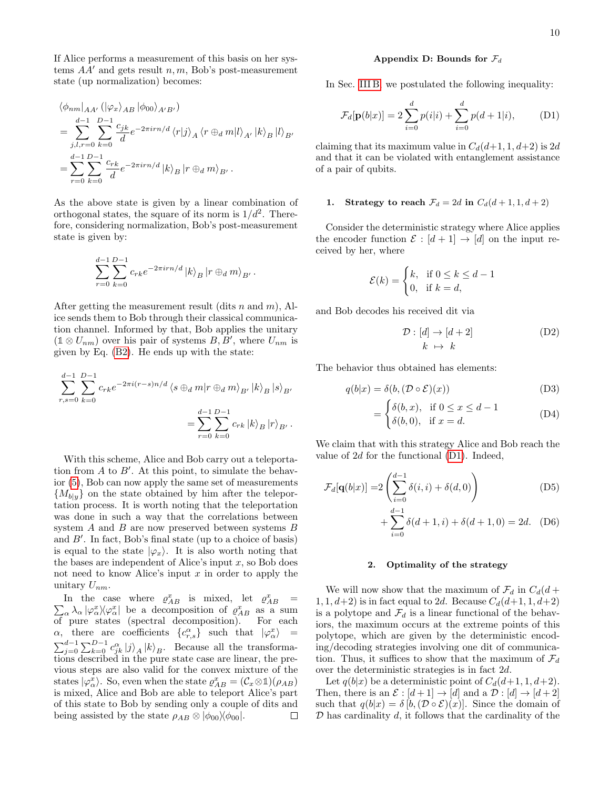If Alice performs a measurement of this basis on her systems  $AA'$  and gets result n, m, Bob's post-measurement state (up normalization) becomes:

$$
\langle \phi_{nm} |_{AA'} (|\varphi_x \rangle_{AB} |\phi_{00} \rangle_{A'B'})
$$
  
= 
$$
\sum_{j,l,r=0}^{d-1} \sum_{k=0}^{D-1} \frac{c_{jk}}{d} e^{-2\pi i r n/d} \langle r | j \rangle_A \langle r \oplus_d m | l \rangle_{A'} | k \rangle_B | l \rangle_{B'}
$$
  
= 
$$
\sum_{r=0}^{d-1} \sum_{k=0}^{D-1} \frac{c_{rk}}{d} e^{-2\pi i r n/d} | k \rangle_B | r \oplus_d m \rangle_{B'}.
$$

As the above state is given by a linear combination of orthogonal states, the square of its norm is  $1/d^2$ . Therefore, considering normalization, Bob's post-measurement state is given by:

$$
\sum_{r=0}^{d-1}\sum_{k=0}^{D-1}c_{rk}e^{-2\pi i r n/d}\left|k\right\rangle_B\left|r\oplus_d m\right\rangle_{B'}.
$$

After getting the measurement result (dits n and  $m$ ), Alice sends them to Bob through their classical communication channel. Informed by that, Bob applies the unitary  $(1 \otimes U_{nm})$  over his pair of systems  $B, B'$ , where  $U_{nm}$  is given by Eq. [\(B2\)](#page-7-4). He ends up with the state:

$$
\sum_{r,s=0}^{d-1} \sum_{k=0}^{D-1} c_{rk} e^{-2\pi i (r-s)n/d} \langle s \oplus_d m | r \oplus_d m \rangle_{B'} | k \rangle_B | s \rangle_{B'}
$$
  
= 
$$
\sum_{r=0}^{d-1} \sum_{k=0}^{D-1} c_{rk} | k \rangle_B | r \rangle_{B'}.
$$

With this scheme, Alice and Bob carry out a teleportation from  $A$  to  $B'$ . At this point, to simulate the behavior [\(5\)](#page-3-6), Bob can now apply the same set of measurements  ${M_{b|y}}$  on the state obtained by him after the teleportation process. It is worth noting that the teleportation was done in such a way that the correlations between system A and B are now preserved between systems B and  $B'$ . In fact, Bob's final state (up to a choice of basis) is equal to the state  $|\varphi_x\rangle$ . It is also worth noting that the bases are independent of Alice's input  $x$ , so Bob does not need to know Alice's input  $x$  in order to apply the unitary  $U_{nm}$ .

In the case where  $\rho_{AB}^x$  is mixed, let  $\rho_{AB}^x$  =  $\sum_{\alpha} \lambda_{\alpha} |\varphi_{\alpha}^{x} \rangle \varphi_{\alpha}^{x}$  be a decomposition of  $\varrho_{AB}^{x}$  as a sum of pure states (spectral decomposition). For each  $\alpha$ , there are coefficients  $\{c_{r,s}^{\alpha}\}\$  such that  $|\varphi_{\alpha}^{x}\rangle =$  $\sum_{j=0}^{d-1} \sum_{k=0}^{D-1} c_{jk}^{\alpha} |j\rangle_A |k\rangle_B$ . Because all the transformations described in the pure state case are linear, the previous steps are also valid for the convex mixture of the states  $|\varphi_{\alpha}^{x}\rangle$ . So, even when the state  $\varrho_{AB}^{x} = (\mathcal{C}_{x} \otimes \mathbb{1})(\rho_{AB})$ is mixed, Alice and Bob are able to teleport Alice's part of this state to Bob by sending only a couple of dits and being assisted by the state  $\rho_{AB} \otimes |\phi_{00}\rangle\langle \phi_{00}|.$  $\Box$ 

#### <span id="page-9-0"></span>Appendix D: Bounds for  $\mathcal{F}_d$

In Sec. [III B,](#page-4-0) we postulated the following inequality:

<span id="page-9-1"></span>
$$
\mathcal{F}_d[\mathbf{p}(b|x)] = 2\sum_{i=0}^d p(i|i) + \sum_{i=0}^d p(d+1|i),
$$
 (D1)

claiming that its maximum value in  $C_d(d+1, 1, d+2)$  is 2d and that it can be violated with entanglement assistance of a pair of qubits.

## 1. Strategy to reach  $\mathcal{F}_d = 2d$  in  $C_d(d+1, 1, d+2)$

Consider the deterministic strategy where Alice applies the encoder function  $\mathcal{E} : [d+1] \to [d]$  on the input received by her, where

$$
\mathcal{E}(k) = \begin{cases} k, & \text{if } 0 \le k \le d - 1 \\ 0, & \text{if } k = d, \end{cases}
$$

and Bob decodes his received dit via

$$
\mathcal{D}: [d] \to [d+2] \tag{D2}
$$

$$
k \mapsto k
$$

The behavior thus obtained has elements:

$$
q(b|x) = \delta(b, (\mathcal{D} \circ \mathcal{E})(x))
$$
 (D3)

$$
= \begin{cases} \delta(b, x), & \text{if } 0 \le x \le d - 1 \\ \delta(b, 0), & \text{if } x = d. \end{cases}
$$
 (D4)

We claim that with this strategy Alice and Bob reach the value of 2d for the functional [\(D1\)](#page-9-1). Indeed,

$$
\mathcal{F}_d[\mathbf{q}(b|x)] = 2\left(\sum_{i=0}^{d-1} \delta(i, i) + \delta(d, 0)\right)
$$
(D5)  
 
$$
+ \sum_{i=0}^{d-1} \delta(d+1, i) + \delta(d+1, 0) = 2d.
$$
(D6)

#### 2. Optimality of the strategy

We will now show that the maximum of  $\mathcal{F}_d$  in  $C_d(d +$  $1, 1, d+2$ ) is in fact equal to 2d. Because  $C_d(d+1, 1, d+2)$ is a polytope and  $\mathcal{F}_d$  is a linear functional of the behaviors, the maximum occurs at the extreme points of this polytope, which are given by the deterministic encoding/decoding strategies involving one dit of communication. Thus, it suffices to show that the maximum of  $\mathcal{F}_d$ over the deterministic strategies is in fact 2d.

Let  $q(b|x)$  be a deterministic point of  $C_d(d+1, 1, d+2)$ . Then, there is an  $\mathcal{E} : [d+1] \to [d]$  and a  $\mathcal{D} : [d] \to [d+2]$ such that  $q(b|x) = \delta [b,(\mathcal{D} \circ \mathcal{E})(x)]$ . Since the domain of  $\mathcal D$  has cardinality  $d$ , it follows that the cardinality of the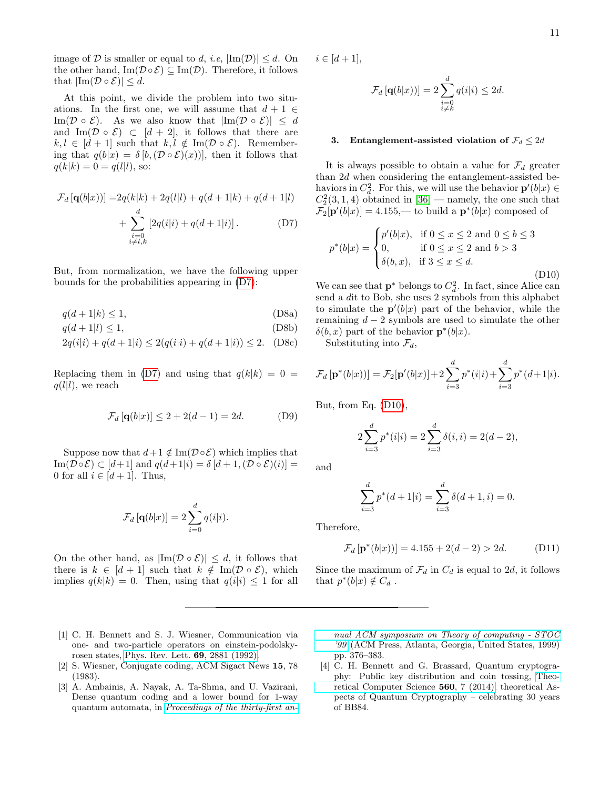image of D is smaller or equal to d, i.e,  $|\text{Im}(\mathcal{D})| \leq d$ . On the other hand,  $\text{Im}(\mathcal{D} \circ \mathcal{E}) \subseteq \text{Im}(\mathcal{D})$ . Therefore, it follows that  $|\text{Im}(\mathcal{D} \circ \mathcal{E})| \leq d$ .

At this point, we divide the problem into two situations. In the first one, we will assume that  $d+1 \in$ Im( $\mathcal{D} \circ \mathcal{E}$ ). As we also know that  $|\text{Im}(\mathcal{D} \circ \mathcal{E})| \leq d$ and Im( $\mathcal{D} \circ \mathcal{E}$ )  $\subset [d+2]$ , it follows that there are  $k, l \in [d+1]$  such that  $k, l \notin \text{Im}(\mathcal{D} \circ \mathcal{E})$ . Remembering that  $q(b|x) = \delta [b, (\mathcal{D} \circ \mathcal{E})(x))]$ , then it follows that  $q(k|k) = 0 = q(l|l)$ , so:

$$
\mathcal{F}_d [q(b|x))] = 2q(k|k) + 2q(l|l) + q(d+1|k) + q(d+1|l) \n+ \sum_{\substack{i=0 \ i \neq l,k}}^d [2q(i|i) + q(d+1|i)].
$$
\n(D7)

But, from normalization, we have the following upper bounds for the probabilities appearing in [\(D7\)](#page-10-4):

$$
q(d+1|k) \le 1,\tag{D8a}
$$

 $q(d+1|l) \le 1,$  (D8b)

$$
2q(i|i) + q(d+1|i) \le 2(q(i|i) + q(d+1|i)) \le 2. \quad (D8c)
$$

Replacing them in [\(D7\)](#page-10-4) and using that  $q(k|k) = 0$  =  $q(l|l)$ , we reach

$$
\mathcal{F}_d\left[\mathbf{q}(b|x)\right] \le 2 + 2(d-1) = 2d. \tag{D9}
$$

Suppose now that  $d+1 \notin \text{Im}(\mathcal{D} \circ \mathcal{E})$  which implies that  $\text{Im}(\mathcal{D} \circ \mathcal{E}) \subset [d+1]$  and  $q(d+1|i) = \delta [d+1,(\mathcal{D} \circ \mathcal{E})(i)] =$ 0 for all  $i \in [d+1]$ . Thus,

$$
\mathcal{F}_d\left[\mathbf{q}(b|x)\right] = 2\sum_{i=0}^d q(i|i).
$$

On the other hand, as  $|\text{Im}(\mathcal{D} \circ \mathcal{E})| \leq d$ , it follows that there is  $k \in [d+1]$  such that  $k \notin \text{Im}(\mathcal{D} \circ \mathcal{E})$ , which implies  $q(k|k) = 0$ . Then, using that  $q(i|i) \leq 1$  for all  $i \in [d + 1],$ 

$$
\mathcal{F}_d\left[\mathbf{q}(b|x)\right)] = 2\sum_{\substack{i=0\\i\neq k}}^d q(i|i) \le 2d.
$$

#### 3. Entanglement-assisted violation of  $\mathcal{F}_d \leq 2d$

It is always possible to obtain a value for  $\mathcal{F}_d$  greater than 2d when considering the entanglement-assisted behaviors in  $C_d^2$ . For this, we will use the behavior  $\mathbf{p}'(b|x) \in$  $C_2^2(3,1,4)$  obtained in [\[36\]](#page-11-29) — namely, the one such that  $\mathcal{F}_2[\mathbf{p}'(b|x)] = 4.155,$  to build a  $\mathbf{p}^*(b|x)$  composed of

<span id="page-10-5"></span><span id="page-10-4"></span>
$$
p^*(b|x) = \begin{cases} p'(b|x), & \text{if } 0 \le x \le 2 \text{ and } 0 \le b \le 3 \\ 0, & \text{if } 0 \le x \le 2 \text{ and } b > 3 \\ \delta(b, x), & \text{if } 3 \le x \le d. \end{cases}
$$
(D10)

We can see that  $\mathbf{p}^*$  belongs to  $C_d^2$ . In fact, since Alice can send a dit to Bob, she uses 2 symbols from this alphabet to simulate the  $\mathbf{p}'(b|x)$  part of the behavior, while the remaining  $d - 2$  symbols are used to simulate the other  $\delta(b, x)$  part of the behavior  $\mathbf{p}^*(b|x)$ .

Substituting into  $\mathcal{F}_d$ ,

$$
\mathcal{F}_d\left[\mathbf{p}^*(b|x)\right)] = \mathcal{F}_2[\mathbf{p}'(b|x)] + 2\sum_{i=3}^d p^*(i|i) + \sum_{i=3}^d p^*(d+1|i).
$$

But, from Eq. [\(D10\)](#page-10-5),

$$
2\sum_{i=3}^{d} p^*(i|i) = 2\sum_{i=3}^{d} \delta(i,i) = 2(d-2),
$$

and

$$
\sum_{i=3}^{d} p^*(d+1|i) = \sum_{i=3}^{d} \delta(d+1,i) = 0.
$$

Therefore,

$$
\mathcal{F}_d\left[\mathbf{p}^*(b|x)\right)] = 4.155 + 2(d-2) > 2d. \tag{D11}
$$

Since the maximum of  $\mathcal{F}_d$  in  $C_d$  is equal to 2d, it follows that  $p^*(b|x) \notin C_d$ .

- <span id="page-10-0"></span>[1] C. H. Bennett and S. J. Wiesner, Communication via one- and two-particle operators on einstein-podolskyrosen states, [Phys. Rev. Lett.](https://doi.org/10.1103/PhysRevLett.69.2881) 69, 2881 (1992).
- <span id="page-10-1"></span>[2] S. Wiesner, Conjugate coding, ACM Sigact News 15, 78 (1983).
- <span id="page-10-2"></span>[3] A. Ambainis, A. Nayak, A. Ta-Shma, and U. Vazirani, Dense quantum coding and a lower bound for 1-way quantum automata, in [Proceedings of the thirty-first an-](https://doi.org/10.1145/301250.301347)

[nual ACM symposium on Theory of computing - STOC](https://doi.org/10.1145/301250.301347) ['99](https://doi.org/10.1145/301250.301347) (ACM Press, Atlanta, Georgia, United States, 1999) pp. 376–383.

<span id="page-10-3"></span>[4] C. H. Bennett and G. Brassard, Quantum cryptography: Public key distribution and coin tossing, [Theo](https://doi.org/https://doi.org/10.1016/j.tcs.2014.05.025)[retical Computer Science](https://doi.org/https://doi.org/10.1016/j.tcs.2014.05.025) 560, 7 (2014), theoretical Aspects of Quantum Cryptography – celebrating 30 years of BB84.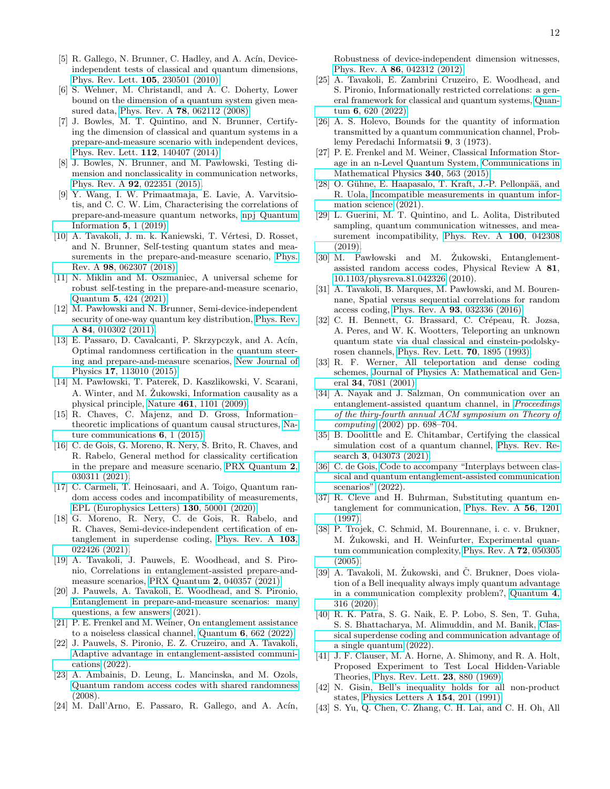- <span id="page-11-0"></span>[5] R. Gallego, N. Brunner, C. Hadley, and A. Acín, Deviceindependent tests of classical and quantum dimensions, [Phys. Rev. Lett.](https://doi.org/10.1103/PhysRevLett.105.230501) 105, 230501 (2010).
- [6] S. Wehner, M. Christandl, and A. C. Doherty, Lower bound on the dimension of a quantum system given measured data, Phys. Rev. A 78[, 062112 \(2008\).](https://doi.org/10.1103/PhysRevA.78.062112)
- <span id="page-11-1"></span>[7] J. Bowles, M. T. Quintino, and N. Brunner, Certifying the dimension of classical and quantum systems in a prepare-and-measure scenario with independent devices, [Phys. Rev. Lett.](https://doi.org/10.1103/PhysRevLett.112.140407) 112, 140407 (2014).
- <span id="page-11-2"></span>[8] J. Bowles, N. Brunner, and M. Pawłowski, Testing dimension and nonclassicality in communication networks, Phys. Rev. A 92[, 022351 \(2015\).](https://doi.org/10.1103/PhysRevA.92.022351)
- <span id="page-11-3"></span>[9] Y. Wang, I. W. Primaatmaja, E. Lavie, A. Varvitsiotis, and C. C. W. Lim, Characterising the correlations of prepare-and-measure quantum networks, [npj Quantum](https://www.nature.com/articles/s41534-019-0133-3) [Information](https://www.nature.com/articles/s41534-019-0133-3) 5, 1 (2019).
- <span id="page-11-4"></span>[10] A. Tavakoli, J. m. k. Kaniewski, T. Vértesi, D. Rosset, and N. Brunner, Self-testing quantum states and measurements in the prepare-and-measure scenario, [Phys.](https://doi.org/10.1103/PhysRevA.98.062307) Rev. A 98[, 062307 \(2018\).](https://doi.org/10.1103/PhysRevA.98.062307)
- <span id="page-11-5"></span>[11] N. Miklin and M. Oszmaniec, A universal scheme for robust self-testing in the prepare-and-measure scenario, Quantum 5[, 424 \(2021\).](https://doi.org/10.22331/q-2021-04-06-424)
- <span id="page-11-6"></span>[12] M. Pawłowski and N. Brunner, Semi-device-independent security of one-way quantum key distribution, [Phys. Rev.](https://doi.org/10.1103/PhysRevA.84.010302) A 84[, 010302 \(2011\).](https://doi.org/10.1103/PhysRevA.84.010302)
- <span id="page-11-7"></span>[13] E. Passaro, D. Cavalcanti, P. Skrzypczyk, and A. Acín, Optimal randomness certification in the quantum steering and prepare-and-measure scenarios, [New Journal of](https://doi.org/10.1088/1367-2630/17/11/113010) Physics 17[, 113010 \(2015\).](https://doi.org/10.1088/1367-2630/17/11/113010)
- <span id="page-11-8"></span>[14] M. Pawłowski, T. Paterek, D. Kaszlikowski, V. Scarani, A. Winter, and M. Żukowski, Information causality as a physical principle, Nature 461[, 1101 \(2009\).](https://doi.org/10.1038/nature08400)
- <span id="page-11-9"></span>[15] R. Chaves, C. Majenz, and D. Gross, Information– theoretic implications of quantum causal structures, [Na](https://www.nature.com/articles/ncomms6766)[ture communications](https://www.nature.com/articles/ncomms6766) 6, 1 (2015).
- <span id="page-11-10"></span>[16] C. de Gois, G. Moreno, R. Nery, S. Brito, R. Chaves, and R. Rabelo, General method for classicality certification in the prepare and measure scenario, [PRX Quantum](https://doi.org/10.1103/PRXQuantum.2.030311) 2, [030311 \(2021\).](https://doi.org/10.1103/PRXQuantum.2.030311)
- <span id="page-11-11"></span>[17] C. Carmeli, T. Heinosaari, and A. Toigo, Quantum random access codes and incompatibility of measurements, [EPL \(Europhysics Letters\)](https://doi.org/10.1209/0295-5075/130/50001) 130, 50001 (2020).
- <span id="page-11-12"></span>[18] G. Moreno, R. Nery, C. de Gois, R. Rabelo, and R. Chaves, Semi-device-independent certification of entanglement in superdense coding, [Phys. Rev. A](https://doi.org/10.1103/PhysRevA.103.022426) 103, [022426 \(2021\).](https://doi.org/10.1103/PhysRevA.103.022426)
- <span id="page-11-24"></span>[19] A. Tavakoli, J. Pauwels, E. Woodhead, and S. Pironio, Correlations in entanglement-assisted prepare-andmeasure scenarios, PRX Quantum 2[, 040357 \(2021\).](https://doi.org/10.1103/PRXQuantum.2.040357)
- <span id="page-11-14"></span>[20] J. Pauwels, A. Tavakoli, E. Woodhead, and S. Pironio, [Entanglement in prepare-and-measure scenarios: many](https://doi.org/10.48550/ARXIV.2108.00442) [questions, a few answers](https://doi.org/10.48550/ARXIV.2108.00442) (2021).
- <span id="page-11-35"></span>[21] P. E. Frenkel and M. Weiner, On entanglement assistance to a noiseless classical channel, Quantum 6[, 662 \(2022\).](https://doi.org/10.22331/q-2022-03-01-662)
- <span id="page-11-13"></span>[22] J. Pauwels, S. Pironio, E. Z. Cruzeiro, and A. Tavakoli, [Adaptive advantage in entanglement-assisted communi](https://doi.org/10.48550/ARXIV.2203.05372)[cations](https://doi.org/10.48550/ARXIV.2203.05372) (2022).
- <span id="page-11-15"></span>[23] A. Ambainis, D. Leung, L. Mancinska, and M. Ozols, [Quantum random access codes with shared randomness](https://doi.org/10.48550/ARXIV.0810.2937) (2008).
- <span id="page-11-16"></span>[24] M. Dall'Arno, E. Passaro, R. Gallego, and A. Acín,

Robustness of device-independent dimension witnesses, Phys. Rev. A 86[, 042312 \(2012\).](https://doi.org/10.1103/PhysRevA.86.042312)

- <span id="page-11-17"></span>[25] A. Tavakoli, E. Zambrini Cruzeiro, E. Woodhead, and S. Pironio, Informationally restricted correlations: a general framework for classical and quantum systems, [Quan](https://doi.org/10.22331/q-2022-01-05-620)tum 6[, 620 \(2022\).](https://doi.org/10.22331/q-2022-01-05-620)
- <span id="page-11-18"></span>[26] A. S. Holevo, Bounds for the quantity of information transmitted by a quantum communication channel, Problemy Peredachi Informatsii 9, 3 (1973).
- <span id="page-11-19"></span>[27] P. E. Frenkel and M. Weiner, Classical Information Storage in an n-Level Quantum System, [Communications in](https://doi.org/10.1007/s00220-015-2463-0) [Mathematical Physics](https://doi.org/10.1007/s00220-015-2463-0) 340, 563 (2015).
- <span id="page-11-20"></span>[28] O. Gühne, E. Haapasalo, T. Kraft, J.-P. Pellonpää, and R. Uola, [Incompatible measurements in quantum infor](https://doi.org/10.48550/ARXIV.2112.06784)[mation science](https://doi.org/10.48550/ARXIV.2112.06784) (2021).
- <span id="page-11-21"></span>[29] L. Guerini, M. T. Quintino, and L. Aolita, Distributed sampling, quantum communication witnesses, and mea-surement incompatibility, [Phys. Rev. A](https://doi.org/10.1103/PhysRevA.100.042308) 100, 042308 [\(2019\).](https://doi.org/10.1103/PhysRevA.100.042308)
- <span id="page-11-22"></span>[30] M. Pawłowski and M. Żukowski, Entanglementassisted random access codes, Physical Review A 81, [10.1103/physreva.81.042326](https://doi.org/10.1103/physreva.81.042326) (2010).
- <span id="page-11-23"></span>[31] A. Tavakoli, B. Marques, M. Pawłowski, and M. Bourennane, Spatial versus sequential correlations for random access coding, Phys. Rev. A 93[, 032336 \(2016\).](https://doi.org/10.1103/PhysRevA.93.032336)
- <span id="page-11-25"></span>[32] C. H. Bennett, G. Brassard, C. Crépeau, R. Jozsa, A. Peres, and W. K. Wootters, Teleporting an unknown quantum state via dual classical and einstein-podolskyrosen channels, [Phys. Rev. Lett.](https://doi.org/10.1103/PhysRevLett.70.1895) 70, 1895 (1993).
- <span id="page-11-26"></span>[33] R. F. Werner, All teleportation and dense coding schemes, [Journal of Physics A: Mathematical and Gen](https://doi.org/10.1088/0305-4470/34/35/332)eral 34[, 7081 \(2001\).](https://doi.org/10.1088/0305-4470/34/35/332)
- <span id="page-11-27"></span>[34] A. Nayak and J. Salzman, On communication over an entanglement-assisted quantum channel, in [Proceedings](https://ieeexplore.ieee.org/document/1004331) [of the thiry-fourth annual ACM symposium on Theory of](https://ieeexplore.ieee.org/document/1004331) [computing](https://ieeexplore.ieee.org/document/1004331) (2002) pp. 698–704.
- <span id="page-11-28"></span>[35] B. Doolittle and E. Chitambar, Certifying the classical simulation cost of a quantum channel, [Phys. Rev. Re](https://doi.org/10.1103/PhysRevResearch.3.043073)search 3[, 043073 \(2021\).](https://doi.org/10.1103/PhysRevResearch.3.043073)
- <span id="page-11-29"></span>[36] C. de Gois, [Code to accompany "Interplays between clas](https://github.com/cgois/eapam_cc_vs_qc)[sical and quantum entanglement-assisted communication](https://github.com/cgois/eapam_cc_vs_qc) [scenarios"](https://github.com/cgois/eapam_cc_vs_qc) (2022).
- <span id="page-11-30"></span>[37] R. Cleve and H. Buhrman, Substituting quantum entanglement for communication, [Phys. Rev. A](https://doi.org/10.1103/PhysRevA.56.1201) 56, 1201 [\(1997\).](https://doi.org/10.1103/PhysRevA.56.1201)
- [38] P. Trojek, C. Schmid, M. Bourennane, i. c. v. Brukner, M. Zukowski, and H. Weinfurter, Experimental quantum communication complexity, [Phys. Rev. A](https://doi.org/10.1103/PhysRevA.72.050305) 72, 050305 [\(2005\).](https://doi.org/10.1103/PhysRevA.72.050305)
- [39] A. Tavakoli, M. Żukowski, and Č. Brukner, Does violation of a Bell inequality always imply quantum advantage in a communication complexity problem?, [Quantum](https://doi.org/10.22331/q-2020-09-07-316) 4, [316 \(2020\).](https://doi.org/10.22331/q-2020-09-07-316)
- <span id="page-11-31"></span>[40] R. K. Patra, S. G. Naik, E. P. Lobo, S. Sen, T. Guha, S. S. Bhattacharya, M. Alimuddin, and M. Banik, [Clas](https://doi.org/10.48550/ARXIV.2202.06796)[sical superdense coding and communication advantage of](https://doi.org/10.48550/ARXIV.2202.06796) [a single quantum](https://doi.org/10.48550/ARXIV.2202.06796) (2022).
- <span id="page-11-32"></span>[41] J. F. Clauser, M. A. Horne, A. Shimony, and R. A. Holt, Proposed Experiment to Test Local Hidden-Variable Theories, [Phys. Rev. Lett.](https://doi.org/10.1103/PhysRevLett.23.880) 23, 880 (1969).
- <span id="page-11-33"></span>[42] N. Gisin, Bell's inequality holds for all non-product states, [Physics Letters A](https://doi.org/https://doi.org/10.1016/0375-9601(91)90805-I) 154, 201 (1991).
- <span id="page-11-34"></span>[43] S. Yu, Q. Chen, C. Zhang, C. H. Lai, and C. H. Oh, All